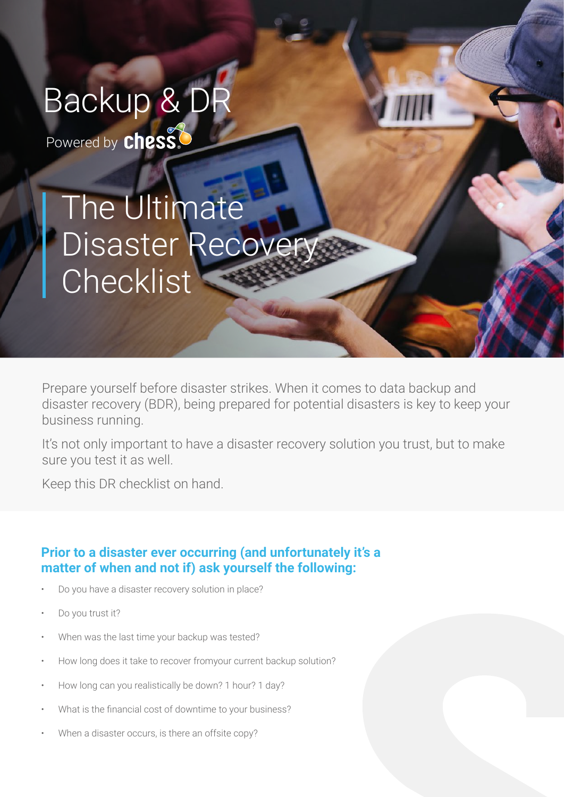# Backup & DR

Powered by **chess!** 

### The Ultimate Disaster Recover **Checklist**

Prepare yourself before disaster strikes. When it comes to data backup and disaster recovery (BDR), being prepared for potential disasters is key to keep your business running.

It's not only important to have a disaster recovery solution you trust, but to make sure you test it as well.

Keep this DR checklist on hand.

#### **Prior to a disaster ever occurring (and unfortunately it's a matter of when and not if) ask yourself the following:**

- Do you have a disaster recovery solution in place?
- Do you trust it?
- When was the last time your backup was tested?
- How long does it take to recover fromyour current backup solution?
- How long can you realistically be down? 1 hour? 1 day?
- What is the financial cost of downtime to your business?
- When a disaster occurs, is there an offsite copy?